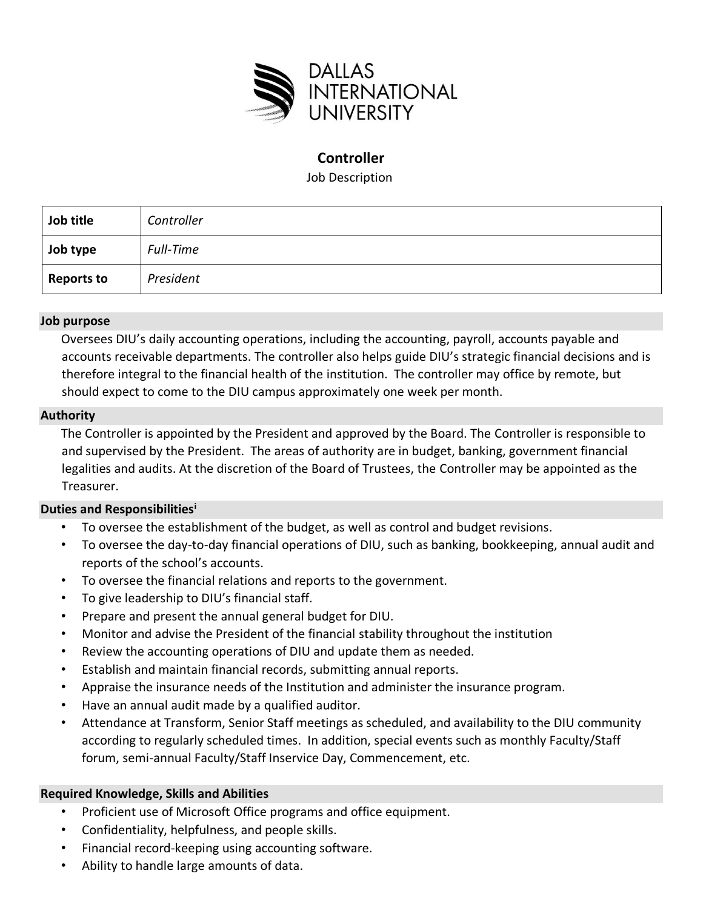

# **Controller**

Job Description

| Job title         | Controller |
|-------------------|------------|
| Job type          | Full-Time  |
| <b>Reports to</b> | President  |

### **Job purpose**

Oversees DIU's daily accounting operations, including the accounting, payroll, accounts payable and accounts receivable departments. The controller also helps guide DIU's strategic financial decisions and is therefore integral to the financial health of the institution. The controller may office by remote, but should expect to come to the DIU campus approximately one week per month.

#### **Authority**

The Controller is appointed by the President and approved by the Board. The Controller is responsible to and supervised by the President. The areas of authority are in budget, banking, government financial legalities and audits. At the discretion of the Board of Trustees, the Controller may be appointed as the Treasurer.

### **Duties and Responsibilities<sup>i</sup>**

- To oversee the establishment of the budget, as well as control and budget revisions.
- To oversee the day-to-day financial operations of DIU, such as banking, bookkeeping, annual audit and reports of the school's accounts.
- To oversee the financial relations and reports to the government.
- To give leadership to DIU's financial staff.
- Prepare and present the annual general budget for DIU.
- Monitor and advise the President of the financial stability throughout the institution
- Review the accounting operations of DIU and update them as needed.
- Establish and maintain financial records, submitting annual reports.
- Appraise the insurance needs of the Institution and administer the insurance program.
- Have an annual audit made by a qualified auditor.
- Attendance at Transform, Senior Staff meetings as scheduled, and availability to the DIU community according to regularly scheduled times. In addition, special events such as monthly Faculty/Staff forum, semi-annual Faculty/Staff Inservice Day, Commencement, etc.

#### **Required Knowledge, Skills and Abilities**

- Proficient use of Microsoft Office programs and office equipment.
- Confidentiality, helpfulness, and people skills.
- Financial record-keeping using accounting software.
- Ability to handle large amounts of data.